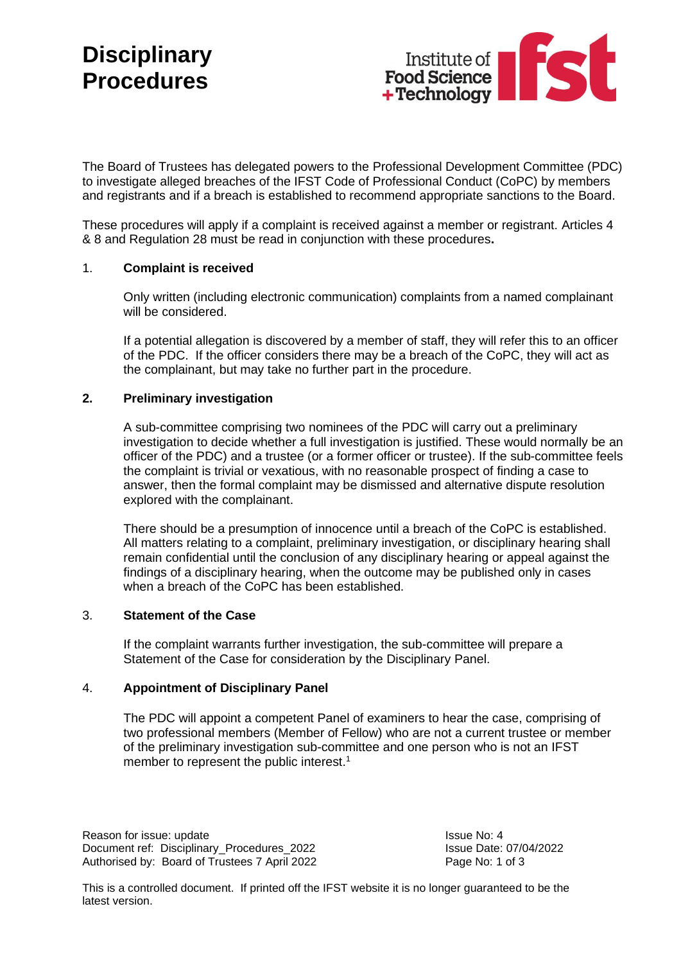

The Board of Trustees has delegated powers to the Professional Development Committee (PDC) to investigate alleged breaches of the IFST Code of Professional Conduct (CoPC) by members and registrants and if a breach is established to recommend appropriate sanctions to the Board.

These procedures will apply if a complaint is received against a member or registrant. Articles 4 & 8 and Regulation 28 must be read in conjunction with these procedures**.** 

### 1. **Complaint is received**

Only written (including electronic communication) complaints from a named complainant will be considered.

If a potential allegation is discovered by a member of staff, they will refer this to an officer of the PDC. If the officer considers there may be a breach of the CoPC, they will act as the complainant, but may take no further part in the procedure.

## **2. Preliminary investigation**

A sub-committee comprising two nominees of the PDC will carry out a preliminary investigation to decide whether a full investigation is justified. These would normally be an officer of the PDC) and a trustee (or a former officer or trustee). If the sub-committee feels the complaint is trivial or vexatious, with no reasonable prospect of finding a case to answer, then the formal complaint may be dismissed and alternative dispute resolution explored with the complainant.

There should be a presumption of innocence until a breach of the CoPC is established. All matters relating to a complaint, preliminary investigation, or disciplinary hearing shall remain confidential until the conclusion of any disciplinary hearing or appeal against the findings of a disciplinary hearing, when the outcome may be published only in cases when a breach of the CoPC has been established.

### 3. **Statement of the Case**

If the complaint warrants further investigation, the sub-committee will prepare a Statement of the Case for consideration by the Disciplinary Panel.

### 4. **Appointment of Disciplinary Panel**

The PDC will appoint a competent Panel of examiners to hear the case, comprising of two professional members (Member of Fellow) who are not a current trustee or member of the preliminary investigation sub-committee and one person who is not an IFST member to represent the public interest.<sup>1</sup>

Reason for issue: update Issue No: 4 Document ref: Disciplinary Procedures 2022 Issue Date: 07/04/2022 Authorised by: Board of Trustees 7 April 2022 Page No: 1 of 3

This is a controlled document. If printed off the IFST website it is no longer guaranteed to be the latest version.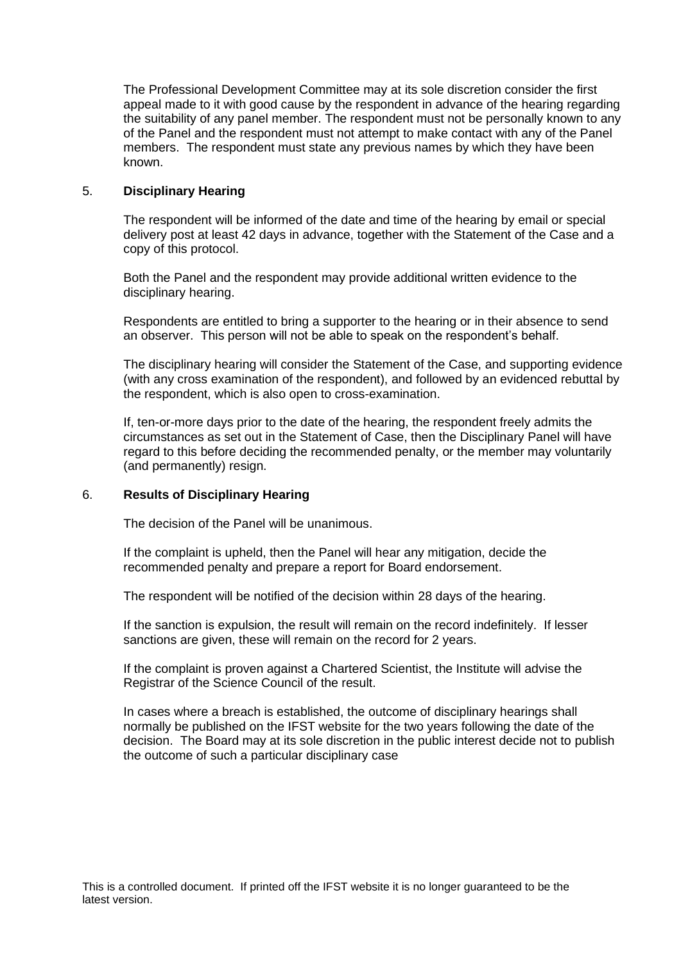The Professional Development Committee may at its sole discretion consider the first appeal made to it with good cause by the respondent in advance of the hearing regarding the suitability of any panel member. The respondent must not be personally known to any of the Panel and the respondent must not attempt to make contact with any of the Panel members. The respondent must state any previous names by which they have been known.

## 5. **Disciplinary Hearing**

The respondent will be informed of the date and time of the hearing by email or special delivery post at least 42 days in advance, together with the Statement of the Case and a copy of this protocol.

Both the Panel and the respondent may provide additional written evidence to the disciplinary hearing.

Respondents are entitled to bring a supporter to the hearing or in their absence to send an observer. This person will not be able to speak on the respondent's behalf.

The disciplinary hearing will consider the Statement of the Case, and supporting evidence (with any cross examination of the respondent), and followed by an evidenced rebuttal by the respondent, which is also open to cross-examination.

If, ten-or-more days prior to the date of the hearing, the respondent freely admits the circumstances as set out in the Statement of Case, then the Disciplinary Panel will have regard to this before deciding the recommended penalty, or the member may voluntarily (and permanently) resign.

### 6. **Results of Disciplinary Hearing**

The decision of the Panel will be unanimous.

If the complaint is upheld, then the Panel will hear any mitigation, decide the recommended penalty and prepare a report for Board endorsement.

The respondent will be notified of the decision within 28 days of the hearing.

If the sanction is expulsion, the result will remain on the record indefinitely. If lesser sanctions are given, these will remain on the record for 2 years.

If the complaint is proven against a Chartered Scientist, the Institute will advise the Registrar of the Science Council of the result.

In cases where a breach is established, the outcome of disciplinary hearings shall normally be published on the IFST website for the two years following the date of the decision. The Board may at its sole discretion in the public interest decide not to publish the outcome of such a particular disciplinary case